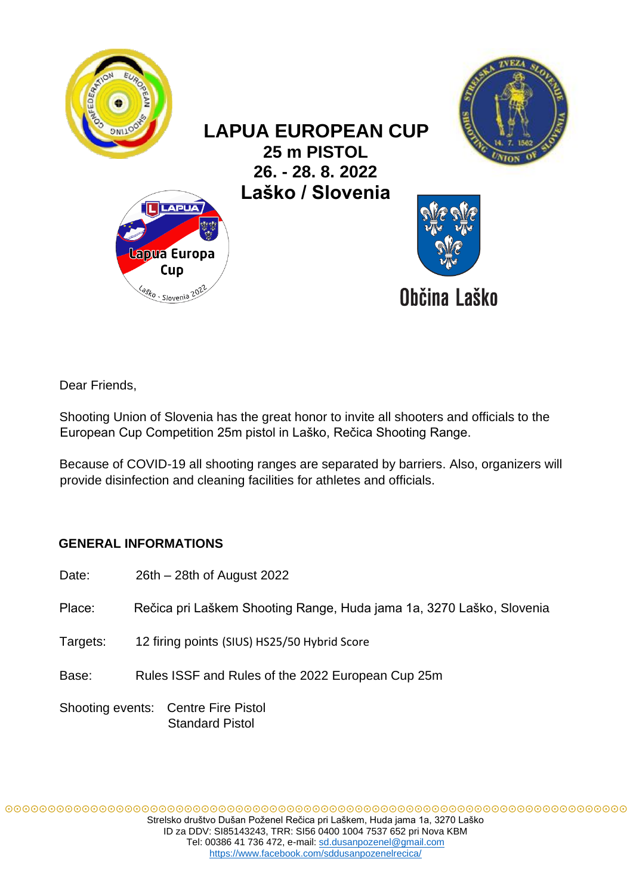

Dear Friends,

Shooting Union of Slovenia has the great honor to invite all shooters and officials to the European Cup Competition 25m pistol in Laško, Rečica Shooting Range.

Because of COVID-19 all shooting ranges are separated by barriers. Also, organizers will provide disinfection and cleaning facilities for athletes and officials.

# **GENERAL INFORMATIONS**

| Date:                                                         | 26th – 28th of August 2022                                           |
|---------------------------------------------------------------|----------------------------------------------------------------------|
| Place:                                                        | Rečica pri Laškem Shooting Range, Huda jama 1a, 3270 Laško, Slovenia |
| Targets:                                                      | 12 firing points (SIUS) HS25/50 Hybrid Score                         |
| Base:                                                         | Rules ISSF and Rules of the 2022 European Cup 25m                    |
| Shooting events: Centre Fire Pistol<br><b>Standard Pistol</b> |                                                                      |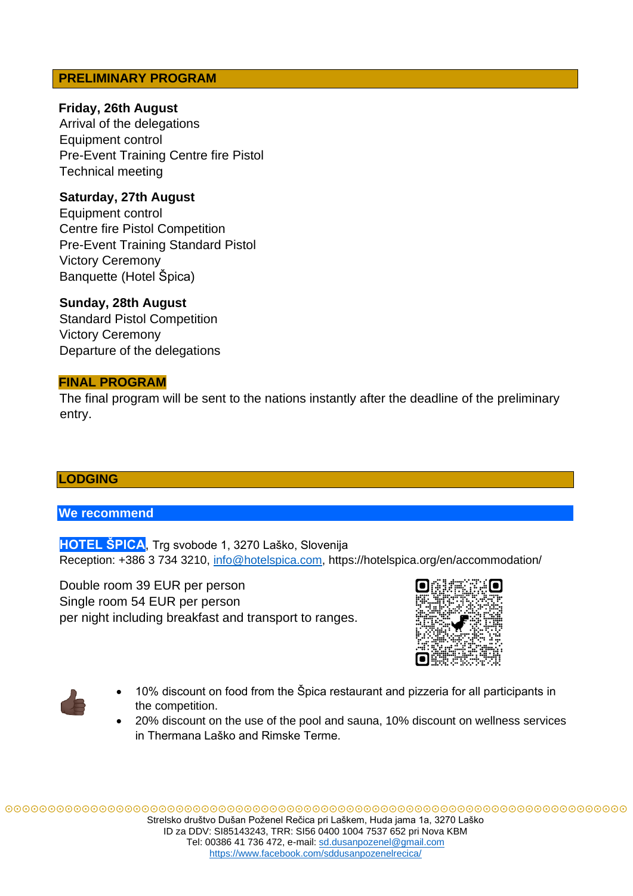## **PRELIMINARY PROGRAM**

## **Friday, 26th August**

Arrival of the delegations Equipment control Pre-Event Training Centre fire Pistol Technical meeting

## **Saturday, 27th August**

Equipment control Centre fire Pistol Competition Pre-Event Training Standard Pistol Victory Ceremony Banquette (Hotel Špica)

**Sunday, 28th August**  Standard Pistol Competition Victory Ceremony Departure of the delegations

## **FINAL PROGRAM**

The final program will be sent to the nations instantly after the deadline of the preliminary entry.

## **LODGING**

## **We recommend**

**HOTEL ŠPICA**, Trg svobode 1, 3270 Laško, Slovenija Reception: +386 3 734 3210, info@hotelspica.com, https://hotelspica.org/en/accommodation/

Double room 39 EUR per person Single room 54 EUR per person per night including breakfast and transport to ranges.





- 10% discount on food from the Špica restaurant and pizzeria for all participants in the competition.
- 20% discount on the use of the pool and sauna, 10% discount on wellness services in Thermana Laško and Rimske Terme.